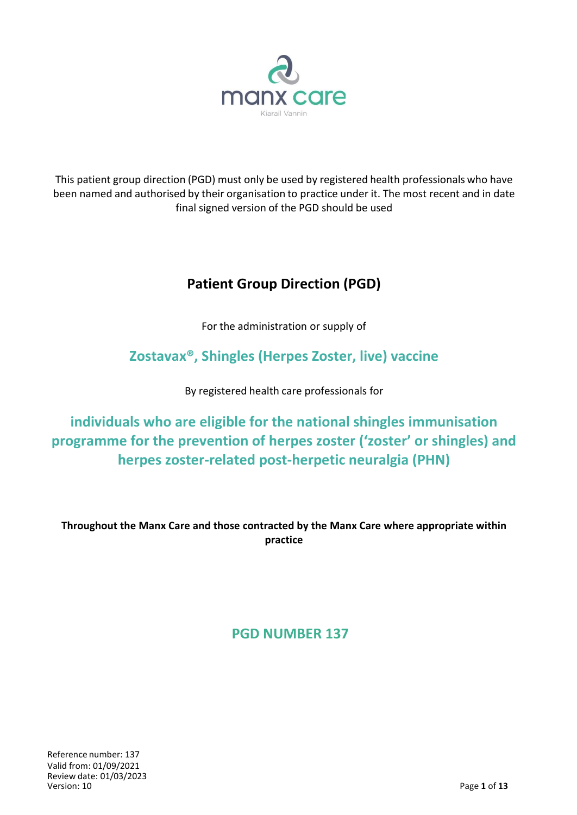

This patient group direction (PGD) must only be used by registered health professionals who have been named and authorised by their organisation to practice under it. The most recent and in date final signed version of the PGD should be used

# **Patient Group Direction (PGD)**

For the administration or supply of

# **Zostavax®, Shingles (Herpes Zoster, live) vaccine**

By registered health care professionals for

**individuals who are eligible for the national shingles immunisation programme for the prevention of herpes zoster ('zoster' or shingles) and herpes zoster-related post-herpetic neuralgia (PHN)**

**Throughout the Manx Care and those contracted by the Manx Care where appropriate within practice**

**PGD NUMBER 137**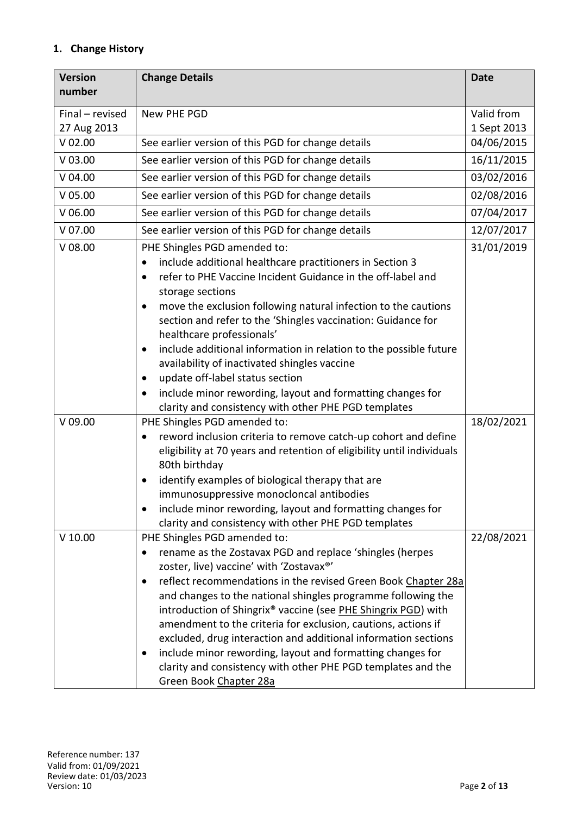# **1. Change History**

| <b>Version</b>  | <b>Change Details</b>                                                          | <b>Date</b> |
|-----------------|--------------------------------------------------------------------------------|-------------|
| number          |                                                                                |             |
| Final - revised | New PHE PGD                                                                    | Valid from  |
| 27 Aug 2013     |                                                                                | 1 Sept 2013 |
| $V$ 02.00       | See earlier version of this PGD for change details                             | 04/06/2015  |
| $V$ 03.00       | See earlier version of this PGD for change details                             | 16/11/2015  |
| V 04.00         | See earlier version of this PGD for change details                             | 03/02/2016  |
| $V$ 05.00       | See earlier version of this PGD for change details                             | 02/08/2016  |
| $V$ 06.00       | See earlier version of this PGD for change details                             | 07/04/2017  |
| $V$ 07.00       | See earlier version of this PGD for change details                             | 12/07/2017  |
| $V$ 08.00       | PHE Shingles PGD amended to:                                                   | 31/01/2019  |
|                 | include additional healthcare practitioners in Section 3<br>$\bullet$          |             |
|                 | refer to PHE Vaccine Incident Guidance in the off-label and<br>$\bullet$       |             |
|                 | storage sections                                                               |             |
|                 | move the exclusion following natural infection to the cautions<br>$\bullet$    |             |
|                 | section and refer to the 'Shingles vaccination: Guidance for                   |             |
|                 | healthcare professionals'                                                      |             |
|                 | include additional information in relation to the possible future<br>$\bullet$ |             |
|                 | availability of inactivated shingles vaccine                                   |             |
|                 | update off-label status section<br>$\bullet$                                   |             |
|                 | include minor rewording, layout and formatting changes for<br>$\bullet$        |             |
|                 | clarity and consistency with other PHE PGD templates                           |             |
| $V$ 09.00       | PHE Shingles PGD amended to:                                                   | 18/02/2021  |
|                 | reword inclusion criteria to remove catch-up cohort and define<br>$\bullet$    |             |
|                 | eligibility at 70 years and retention of eligibility until individuals         |             |
|                 | 80th birthday                                                                  |             |
|                 | identify examples of biological therapy that are                               |             |
|                 | immunosuppressive monocloncal antibodies                                       |             |
|                 | include minor rewording, layout and formatting changes for                     |             |
|                 | clarity and consistency with other PHE PGD templates                           |             |
| $V$ 10.00       | PHE Shingles PGD amended to:                                                   | 22/08/2021  |
|                 | rename as the Zostavax PGD and replace 'shingles (herpes                       |             |
|                 | zoster, live) vaccine' with 'Zostavax®'                                        |             |
|                 | reflect recommendations in the revised Green Book Chapter 28a<br>٠             |             |
|                 | and changes to the national shingles programme following the                   |             |
|                 | introduction of Shingrix® vaccine (see PHE Shingrix PGD) with                  |             |
|                 | amendment to the criteria for exclusion, cautions, actions if                  |             |
|                 | excluded, drug interaction and additional information sections                 |             |
|                 | include minor rewording, layout and formatting changes for                     |             |
|                 | clarity and consistency with other PHE PGD templates and the                   |             |
|                 | Green Book Chapter 28a                                                         |             |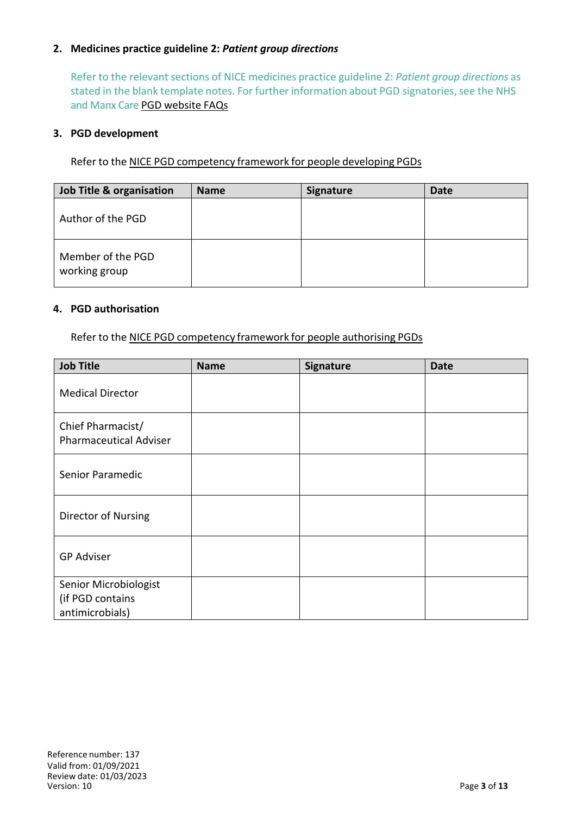# **2. Medicines practice guideline 2:** *Patient group directions*

Refer to the relevant sections of NICE medicines practice guideline 2: *Patient group directions* as stated in the blank template notes. For further information about PGD signatories, see the NHS and Manx Care PGD website FAQs

#### **3. PGD development**

Refer to the NICE PGD competency framework for people developing PGDs

| Job Title & organisation           | <b>Name</b> | Signature | <b>Date</b> |
|------------------------------------|-------------|-----------|-------------|
| Author of the PGD                  |             |           |             |
| Member of the PGD<br>working group |             |           |             |

#### **4. PGD authorisation**

Refer to the NICE PGD competency framework for people authorising PGDs

| <b>Job Title</b>                                             | <b>Name</b> | Signature | <b>Date</b> |
|--------------------------------------------------------------|-------------|-----------|-------------|
| <b>Medical Director</b>                                      |             |           |             |
| Chief Pharmacist/<br><b>Pharmaceutical Adviser</b>           |             |           |             |
| Senior Paramedic                                             |             |           |             |
| Director of Nursing                                          |             |           |             |
| <b>GP Adviser</b>                                            |             |           |             |
| Senior Microbiologist<br>(if PGD contains<br>antimicrobials) |             |           |             |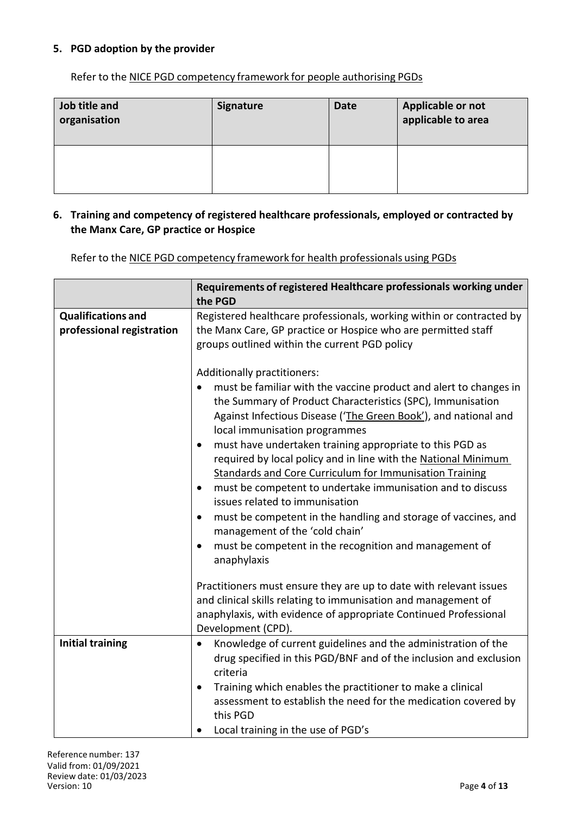# **5. PGD adoption by the provider**

Refer to the NICE PGD competency framework for people authorising PGDs

| Job title and<br>organisation | <b>Signature</b> | <b>Date</b> | Applicable or not<br>applicable to area |
|-------------------------------|------------------|-------------|-----------------------------------------|
|                               |                  |             |                                         |

#### **6. Training and competency of registered healthcare professionals, employed or contracted by the Manx Care, GP practice or Hospice**

Refer to the NICE PGD competency framework for health professionals using PGDs

|                                                        | Requirements of registered Healthcare professionals working under<br>the PGD                                                                                                                                                                                                                                                                                                                                                                                                                                                                                                                                                                                                                                                                                                   |
|--------------------------------------------------------|--------------------------------------------------------------------------------------------------------------------------------------------------------------------------------------------------------------------------------------------------------------------------------------------------------------------------------------------------------------------------------------------------------------------------------------------------------------------------------------------------------------------------------------------------------------------------------------------------------------------------------------------------------------------------------------------------------------------------------------------------------------------------------|
| <b>Qualifications and</b><br>professional registration | Registered healthcare professionals, working within or contracted by<br>the Manx Care, GP practice or Hospice who are permitted staff<br>groups outlined within the current PGD policy                                                                                                                                                                                                                                                                                                                                                                                                                                                                                                                                                                                         |
|                                                        | Additionally practitioners:<br>must be familiar with the vaccine product and alert to changes in<br>the Summary of Product Characteristics (SPC), Immunisation<br>Against Infectious Disease ('The Green Book'), and national and<br>local immunisation programmes<br>must have undertaken training appropriate to this PGD as<br>$\bullet$<br>required by local policy and in line with the National Minimum<br><b>Standards and Core Curriculum for Immunisation Training</b><br>must be competent to undertake immunisation and to discuss<br>issues related to immunisation<br>must be competent in the handling and storage of vaccines, and<br>٠<br>management of the 'cold chain'<br>must be competent in the recognition and management of<br>$\bullet$<br>anaphylaxis |
|                                                        | Practitioners must ensure they are up to date with relevant issues<br>and clinical skills relating to immunisation and management of<br>anaphylaxis, with evidence of appropriate Continued Professional<br>Development (CPD).                                                                                                                                                                                                                                                                                                                                                                                                                                                                                                                                                 |
| <b>Initial training</b>                                | Knowledge of current guidelines and the administration of the<br>$\bullet$<br>drug specified in this PGD/BNF and of the inclusion and exclusion<br>criteria<br>Training which enables the practitioner to make a clinical<br>$\bullet$<br>assessment to establish the need for the medication covered by<br>this PGD                                                                                                                                                                                                                                                                                                                                                                                                                                                           |
|                                                        | Local training in the use of PGD's                                                                                                                                                                                                                                                                                                                                                                                                                                                                                                                                                                                                                                                                                                                                             |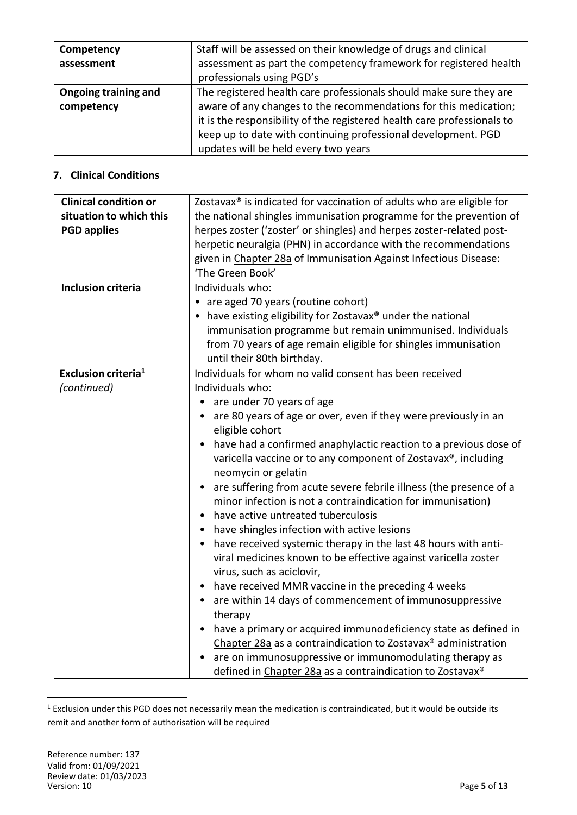| Competency<br>assessment           | Staff will be assessed on their knowledge of drugs and clinical<br>assessment as part the competency framework for registered health<br>professionals using PGD's                                                                                                                                                          |
|------------------------------------|----------------------------------------------------------------------------------------------------------------------------------------------------------------------------------------------------------------------------------------------------------------------------------------------------------------------------|
| Ongoing training and<br>competency | The registered health care professionals should make sure they are<br>aware of any changes to the recommendations for this medication;<br>it is the responsibility of the registered health care professionals to<br>keep up to date with continuing professional development. PGD<br>updates will be held every two years |

## **7. Clinical Conditions**

| <b>Clinical condition or</b><br>situation to which this<br><b>PGD applies</b> | Zostavax® is indicated for vaccination of adults who are eligible for<br>the national shingles immunisation programme for the prevention of<br>herpes zoster ('zoster' or shingles) and herpes zoster-related post-<br>herpetic neuralgia (PHN) in accordance with the recommendations<br>given in Chapter 28a of Immunisation Against Infectious Disease:<br>'The Green Book'                                                                                                                                                                                                                                                                                                                                                                                                                                                                                                                                                                                                                                                                                                                                                                                                                                                               |
|-------------------------------------------------------------------------------|----------------------------------------------------------------------------------------------------------------------------------------------------------------------------------------------------------------------------------------------------------------------------------------------------------------------------------------------------------------------------------------------------------------------------------------------------------------------------------------------------------------------------------------------------------------------------------------------------------------------------------------------------------------------------------------------------------------------------------------------------------------------------------------------------------------------------------------------------------------------------------------------------------------------------------------------------------------------------------------------------------------------------------------------------------------------------------------------------------------------------------------------------------------------------------------------------------------------------------------------|
| <b>Inclusion criteria</b>                                                     | Individuals who:<br>are aged 70 years (routine cohort)<br>• have existing eligibility for Zostavax® under the national<br>immunisation programme but remain unimmunised. Individuals<br>from 70 years of age remain eligible for shingles immunisation<br>until their 80th birthday.                                                                                                                                                                                                                                                                                                                                                                                                                                                                                                                                                                                                                                                                                                                                                                                                                                                                                                                                                         |
| Exclusion criteria <sup>1</sup><br>(continued)                                | Individuals for whom no valid consent has been received<br>Individuals who:<br>are under 70 years of age<br>• are 80 years of age or over, even if they were previously in an<br>eligible cohort<br>have had a confirmed anaphylactic reaction to a previous dose of<br>$\bullet$<br>varicella vaccine or to any component of Zostavax®, including<br>neomycin or gelatin<br>are suffering from acute severe febrile illness (the presence of a<br>$\bullet$<br>minor infection is not a contraindication for immunisation)<br>have active untreated tuberculosis<br>$\bullet$<br>have shingles infection with active lesions<br>$\bullet$<br>• have received systemic therapy in the last 48 hours with anti-<br>viral medicines known to be effective against varicella zoster<br>virus, such as aciclovir,<br>have received MMR vaccine in the preceding 4 weeks<br>$\bullet$<br>are within 14 days of commencement of immunosuppressive<br>$\bullet$<br>therapy<br>have a primary or acquired immunodeficiency state as defined in<br>$\bullet$<br>Chapter 28a as a contraindication to Zostavax® administration<br>are on immunosuppressive or immunomodulating therapy as<br>defined in Chapter 28a as a contraindication to Zostavax® |

 $<sup>1</sup>$  Exclusion under this PGD does not necessarily mean the medication is contraindicated, but it would be outside its</sup> remit and another form of authorisation will be required

 $\overline{a}$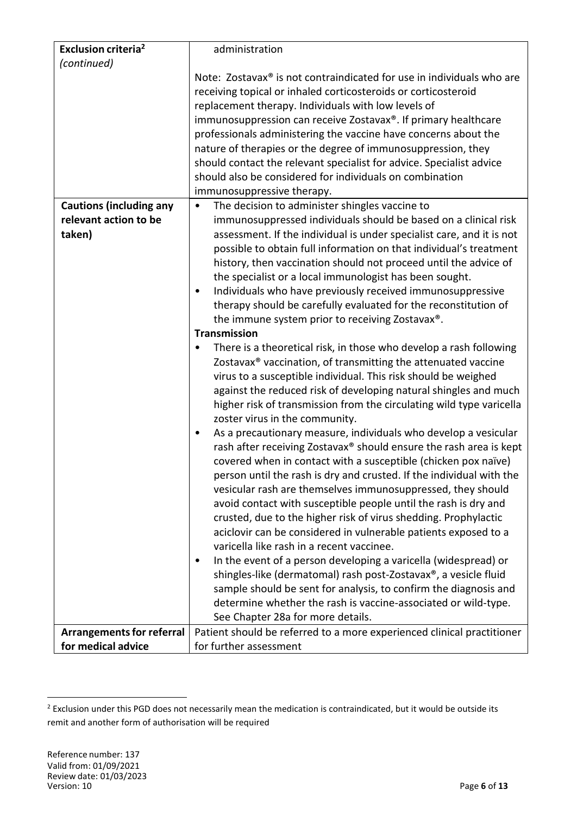| <b>Exclusion criteria<sup>2</sup></b> | administration                                                                    |  |  |  |
|---------------------------------------|-----------------------------------------------------------------------------------|--|--|--|
| (continued)                           |                                                                                   |  |  |  |
|                                       | Note: Zostavax <sup>®</sup> is not contraindicated for use in individuals who are |  |  |  |
|                                       | receiving topical or inhaled corticosteroids or corticosteroid                    |  |  |  |
|                                       | replacement therapy. Individuals with low levels of                               |  |  |  |
|                                       | immunosuppression can receive Zostavax®. If primary healthcare                    |  |  |  |
|                                       | professionals administering the vaccine have concerns about the                   |  |  |  |
|                                       | nature of therapies or the degree of immunosuppression, they                      |  |  |  |
|                                       | should contact the relevant specialist for advice. Specialist advice              |  |  |  |
|                                       | should also be considered for individuals on combination                          |  |  |  |
|                                       | immunosuppressive therapy.                                                        |  |  |  |
| <b>Cautions (including any</b>        | The decision to administer shingles vaccine to<br>$\bullet$                       |  |  |  |
| relevant action to be                 | immunosuppressed individuals should be based on a clinical risk                   |  |  |  |
| taken)                                | assessment. If the individual is under specialist care, and it is not             |  |  |  |
|                                       | possible to obtain full information on that individual's treatment                |  |  |  |
|                                       | history, then vaccination should not proceed until the advice of                  |  |  |  |
|                                       | the specialist or a local immunologist has been sought.                           |  |  |  |
|                                       | Individuals who have previously received immunosuppressive<br>٠                   |  |  |  |
|                                       | therapy should be carefully evaluated for the reconstitution of                   |  |  |  |
|                                       | the immune system prior to receiving Zostavax®.                                   |  |  |  |
|                                       | <b>Transmission</b>                                                               |  |  |  |
|                                       | There is a theoretical risk, in those who develop a rash following<br>٠           |  |  |  |
|                                       | Zostavax <sup>®</sup> vaccination, of transmitting the attenuated vaccine         |  |  |  |
|                                       | virus to a susceptible individual. This risk should be weighed                    |  |  |  |
|                                       | against the reduced risk of developing natural shingles and much                  |  |  |  |
|                                       | higher risk of transmission from the circulating wild type varicella              |  |  |  |
|                                       | zoster virus in the community.                                                    |  |  |  |
|                                       | As a precautionary measure, individuals who develop a vesicular<br>٠              |  |  |  |
|                                       | rash after receiving Zostavax® should ensure the rash area is kept                |  |  |  |
|                                       | covered when in contact with a susceptible (chicken pox naïve)                    |  |  |  |
|                                       | person until the rash is dry and crusted. If the individual with the              |  |  |  |
|                                       | vesicular rash are themselves immunosuppressed, they should                       |  |  |  |
|                                       | avoid contact with susceptible people until the rash is dry and                   |  |  |  |
|                                       | crusted, due to the higher risk of virus shedding. Prophylactic                   |  |  |  |
|                                       | aciclovir can be considered in vulnerable patients exposed to a                   |  |  |  |
|                                       | varicella like rash in a recent vaccinee.                                         |  |  |  |
|                                       | In the event of a person developing a varicella (widespread) or<br>٠              |  |  |  |
|                                       | shingles-like (dermatomal) rash post-Zostavax®, a vesicle fluid                   |  |  |  |
|                                       | sample should be sent for analysis, to confirm the diagnosis and                  |  |  |  |
|                                       | determine whether the rash is vaccine-associated or wild-type.                    |  |  |  |
|                                       | See Chapter 28a for more details.                                                 |  |  |  |
| <b>Arrangements for referral</b>      | Patient should be referred to a more experienced clinical practitioner            |  |  |  |
| for medical advice                    | for further assessment                                                            |  |  |  |

 $\overline{a}$ 

 $^2$  Exclusion under this PGD does not necessarily mean the medication is contraindicated, but it would be outside its remit and another form of authorisation will be required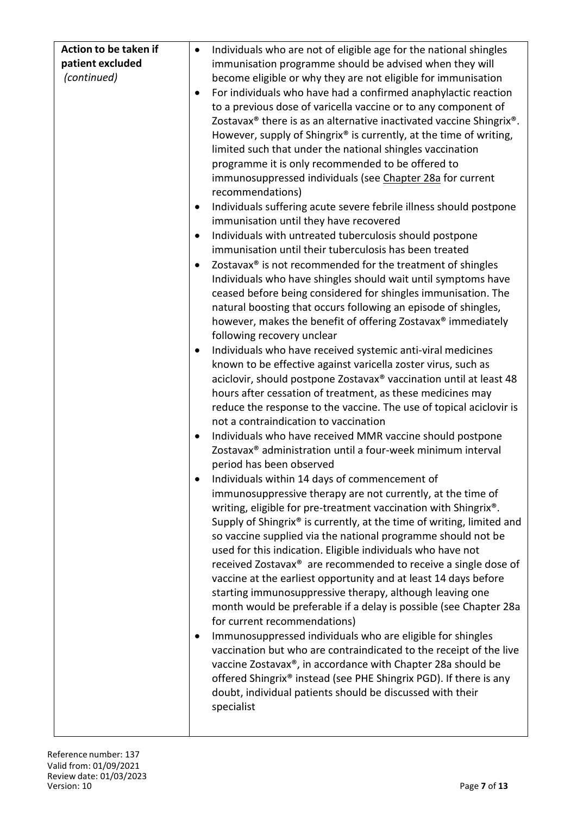| Action to be taken if | $\bullet$ | Individuals who are not of eligible age for the national shingles                            |
|-----------------------|-----------|----------------------------------------------------------------------------------------------|
| patient excluded      |           | immunisation programme should be advised when they will                                      |
| (continued)           |           | become eligible or why they are not eligible for immunisation                                |
|                       |           | For individuals who have had a confirmed anaphylactic reaction                               |
|                       |           | to a previous dose of varicella vaccine or to any component of                               |
|                       |           | Zostavax <sup>®</sup> there is as an alternative inactivated vaccine Shingrix <sup>®</sup> . |
|                       |           | However, supply of Shingrix® is currently, at the time of writing,                           |
|                       |           | limited such that under the national shingles vaccination                                    |
|                       |           | programme it is only recommended to be offered to                                            |
|                       |           | immunosuppressed individuals (see Chapter 28a for current                                    |
|                       |           | recommendations)                                                                             |
|                       |           | Individuals suffering acute severe febrile illness should postpone                           |
|                       |           | immunisation until they have recovered                                                       |
|                       |           | Individuals with untreated tuberculosis should postpone                                      |
|                       |           | immunisation until their tuberculosis has been treated                                       |
|                       |           | Zostavax® is not recommended for the treatment of shingles                                   |
|                       |           | Individuals who have shingles should wait until symptoms have                                |
|                       |           | ceased before being considered for shingles immunisation. The                                |
|                       |           | natural boosting that occurs following an episode of shingles,                               |
|                       |           | however, makes the benefit of offering Zostavax® immediately                                 |
|                       |           | following recovery unclear                                                                   |
|                       | $\bullet$ | Individuals who have received systemic anti-viral medicines                                  |
|                       |           | known to be effective against varicella zoster virus, such as                                |
|                       |           | aciclovir, should postpone Zostavax® vaccination until at least 48                           |
|                       |           | hours after cessation of treatment, as these medicines may                                   |
|                       |           | reduce the response to the vaccine. The use of topical aciclovir is                          |
|                       |           | not a contraindication to vaccination                                                        |
|                       |           | Individuals who have received MMR vaccine should postpone                                    |
|                       |           | Zostavax <sup>®</sup> administration until a four-week minimum interval                      |
|                       |           | period has been observed                                                                     |
|                       |           | Individuals within 14 days of commencement of                                                |
|                       |           | immunosuppressive therapy are not currently, at the time of                                  |
|                       |           | writing, eligible for pre-treatment vaccination with Shingrix®.                              |
|                       |           | Supply of Shingrix® is currently, at the time of writing, limited and                        |
|                       |           | so vaccine supplied via the national programme should not be                                 |
|                       |           | used for this indication. Eligible individuals who have not                                  |
|                       |           | received Zostavax <sup>®</sup> are recommended to receive a single dose of                   |
|                       |           | vaccine at the earliest opportunity and at least 14 days before                              |
|                       |           | starting immunosuppressive therapy, although leaving one                                     |
|                       |           | month would be preferable if a delay is possible (see Chapter 28a                            |
|                       |           | for current recommendations)                                                                 |
|                       |           | Immunosuppressed individuals who are eligible for shingles                                   |
|                       |           | vaccination but who are contraindicated to the receipt of the live                           |
|                       |           | vaccine Zostavax®, in accordance with Chapter 28a should be                                  |
|                       |           | offered Shingrix® instead (see PHE Shingrix PGD). If there is any                            |
|                       |           | doubt, individual patients should be discussed with their                                    |
|                       |           | specialist                                                                                   |
|                       |           |                                                                                              |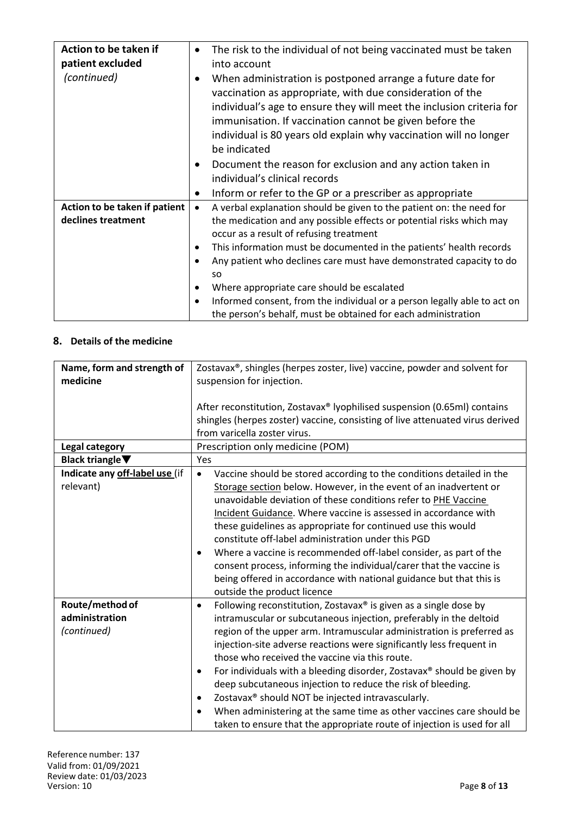| Action to be taken if<br>patient excluded<br>(continued) | $\bullet$              | The risk to the individual of not being vaccinated must be taken<br>into account<br>When administration is postponed arrange a future date for<br>vaccination as appropriate, with due consideration of the<br>individual's age to ensure they will meet the inclusion criteria for<br>immunisation. If vaccination cannot be given before the<br>individual is 80 years old explain why vaccination will no longer<br>be indicated<br>Document the reason for exclusion and any action taken in<br>individual's clinical records             |
|----------------------------------------------------------|------------------------|-----------------------------------------------------------------------------------------------------------------------------------------------------------------------------------------------------------------------------------------------------------------------------------------------------------------------------------------------------------------------------------------------------------------------------------------------------------------------------------------------------------------------------------------------|
|                                                          |                        | Inform or refer to the GP or a prescriber as appropriate                                                                                                                                                                                                                                                                                                                                                                                                                                                                                      |
| Action to be taken if patient<br>declines treatment      | $\bullet$<br>$\bullet$ | A verbal explanation should be given to the patient on: the need for<br>the medication and any possible effects or potential risks which may<br>occur as a result of refusing treatment<br>This information must be documented in the patients' health records<br>Any patient who declines care must have demonstrated capacity to do<br><b>SO</b><br>Where appropriate care should be escalated<br>Informed consent, from the individual or a person legally able to act on<br>the person's behalf, must be obtained for each administration |

#### **8. Details of the medicine**

| Name, form and strength of<br>medicine      | Zostavax®, shingles (herpes zoster, live) vaccine, powder and solvent for<br>suspension for injection.                                                                                                                                                                                                                                                                                                                                                                                                                                                                                                                                                              |
|---------------------------------------------|---------------------------------------------------------------------------------------------------------------------------------------------------------------------------------------------------------------------------------------------------------------------------------------------------------------------------------------------------------------------------------------------------------------------------------------------------------------------------------------------------------------------------------------------------------------------------------------------------------------------------------------------------------------------|
|                                             | After reconstitution, Zostavax® Iyophilised suspension (0.65ml) contains<br>shingles (herpes zoster) vaccine, consisting of live attenuated virus derived<br>from varicella zoster virus.                                                                                                                                                                                                                                                                                                                                                                                                                                                                           |
| Legal category                              | Prescription only medicine (POM)                                                                                                                                                                                                                                                                                                                                                                                                                                                                                                                                                                                                                                    |
| Black triangle $\blacktriangledown$         | Yes                                                                                                                                                                                                                                                                                                                                                                                                                                                                                                                                                                                                                                                                 |
| Indicate any off-label use (if<br>relevant) | Vaccine should be stored according to the conditions detailed in the<br>$\bullet$<br>Storage section below. However, in the event of an inadvertent or<br>unavoidable deviation of these conditions refer to PHE Vaccine<br>Incident Guidance. Where vaccine is assessed in accordance with<br>these guidelines as appropriate for continued use this would<br>constitute off-label administration under this PGD<br>Where a vaccine is recommended off-label consider, as part of the<br>consent process, informing the individual/carer that the vaccine is<br>being offered in accordance with national guidance but that this is<br>outside the product licence |
| Route/method of                             | Following reconstitution, Zostavax <sup>®</sup> is given as a single dose by<br>$\bullet$                                                                                                                                                                                                                                                                                                                                                                                                                                                                                                                                                                           |
| administration                              | intramuscular or subcutaneous injection, preferably in the deltoid                                                                                                                                                                                                                                                                                                                                                                                                                                                                                                                                                                                                  |
| (continued)                                 | region of the upper arm. Intramuscular administration is preferred as<br>injection-site adverse reactions were significantly less frequent in<br>those who received the vaccine via this route.                                                                                                                                                                                                                                                                                                                                                                                                                                                                     |
|                                             | For individuals with a bleeding disorder, Zostavax® should be given by<br>$\bullet$                                                                                                                                                                                                                                                                                                                                                                                                                                                                                                                                                                                 |
|                                             | deep subcutaneous injection to reduce the risk of bleeding.                                                                                                                                                                                                                                                                                                                                                                                                                                                                                                                                                                                                         |
|                                             | Zostavax® should NOT be injected intravascularly.<br>$\bullet$                                                                                                                                                                                                                                                                                                                                                                                                                                                                                                                                                                                                      |
|                                             | When administering at the same time as other vaccines care should be<br>$\bullet$<br>taken to ensure that the appropriate route of injection is used for all                                                                                                                                                                                                                                                                                                                                                                                                                                                                                                        |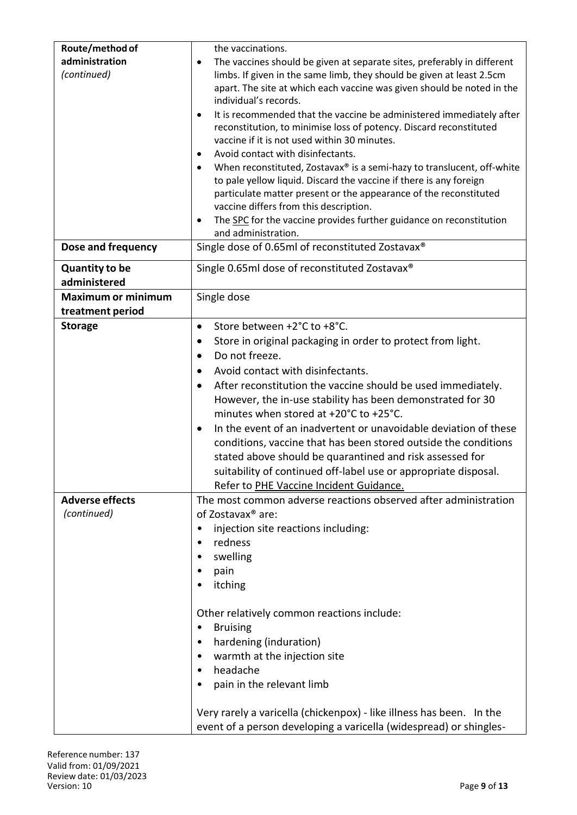| Route/method of           | the vaccinations.                                                                                                  |
|---------------------------|--------------------------------------------------------------------------------------------------------------------|
| administration            | The vaccines should be given at separate sites, preferably in different<br>$\bullet$                               |
| (continued)               | limbs. If given in the same limb, they should be given at least 2.5cm                                              |
|                           | apart. The site at which each vaccine was given should be noted in the<br>individual's records.                    |
|                           | It is recommended that the vaccine be administered immediately after<br>$\bullet$                                  |
|                           | reconstitution, to minimise loss of potency. Discard reconstituted                                                 |
|                           | vaccine if it is not used within 30 minutes.                                                                       |
|                           | Avoid contact with disinfectants.<br>$\bullet$                                                                     |
|                           | When reconstituted, Zostavax® is a semi-hazy to translucent, off-white<br>$\bullet$                                |
|                           | to pale yellow liquid. Discard the vaccine if there is any foreign                                                 |
|                           | particulate matter present or the appearance of the reconstituted                                                  |
|                           | vaccine differs from this description.<br>The SPC for the vaccine provides further guidance on reconstitution<br>٠ |
|                           | and administration.                                                                                                |
| Dose and frequency        | Single dose of 0.65ml of reconstituted Zostavax®                                                                   |
| <b>Quantity to be</b>     | Single 0.65ml dose of reconstituted Zostavax®                                                                      |
| administered              |                                                                                                                    |
| <b>Maximum or minimum</b> | Single dose                                                                                                        |
| treatment period          | Store between +2°C to +8°C.                                                                                        |
| <b>Storage</b>            | $\bullet$                                                                                                          |
|                           | Store in original packaging in order to protect from light.<br>٠<br>Do not freeze.<br>$\bullet$                    |
|                           | Avoid contact with disinfectants.<br>٠                                                                             |
|                           | After reconstitution the vaccine should be used immediately.<br>$\bullet$                                          |
|                           | However, the in-use stability has been demonstrated for 30                                                         |
|                           | minutes when stored at +20°C to +25°C.                                                                             |
|                           | In the event of an inadvertent or unavoidable deviation of these<br>$\bullet$                                      |
|                           | conditions, vaccine that has been stored outside the conditions                                                    |
|                           | stated above should be quarantined and risk assessed for                                                           |
|                           | suitability of continued off-label use or appropriate disposal.                                                    |
|                           | Refer to PHE Vaccine Incident Guidance.                                                                            |
| <b>Adverse effects</b>    | The most common adverse reactions observed after administration                                                    |
| (continued)               | of Zostavax <sup>®</sup> are:                                                                                      |
|                           | injection site reactions including:                                                                                |
|                           | redness<br>$\bullet$                                                                                               |
|                           | swelling<br>٠                                                                                                      |
|                           | pain<br>itching                                                                                                    |
|                           |                                                                                                                    |
|                           | Other relatively common reactions include:                                                                         |
|                           | <b>Bruising</b><br>٠                                                                                               |
|                           | hardening (induration)<br>$\bullet$                                                                                |
|                           | warmth at the injection site                                                                                       |
|                           | headache<br>$\bullet$                                                                                              |
|                           | pain in the relevant limb                                                                                          |
|                           | Very rarely a varicella (chickenpox) - like illness has been. In the                                               |
|                           | event of a person developing a varicella (widespread) or shingles-                                                 |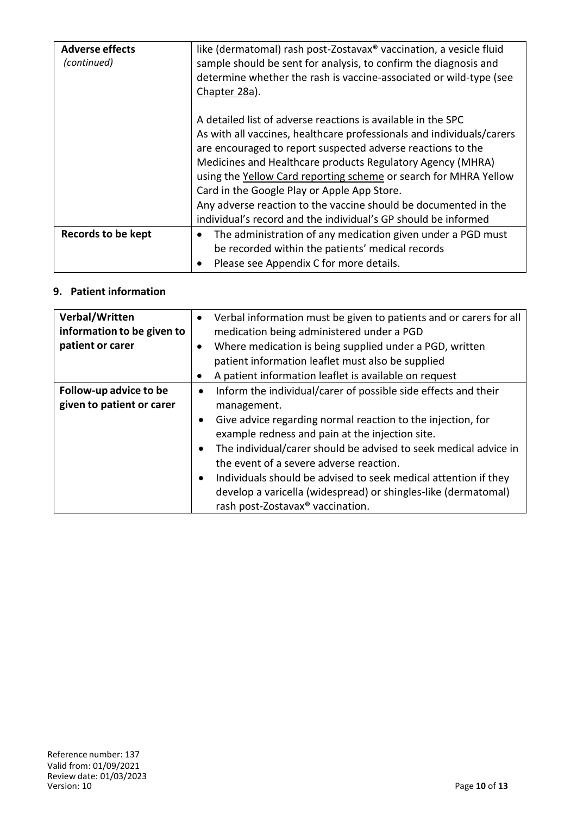| <b>Adverse effects</b><br>(continued) | like (dermatomal) rash post-Zostavax <sup>®</sup> vaccination, a vesicle fluid<br>sample should be sent for analysis, to confirm the diagnosis and<br>determine whether the rash is vaccine-associated or wild-type (see<br>Chapter 28a).                                                                                                                                                                                                                                                                                  |
|---------------------------------------|----------------------------------------------------------------------------------------------------------------------------------------------------------------------------------------------------------------------------------------------------------------------------------------------------------------------------------------------------------------------------------------------------------------------------------------------------------------------------------------------------------------------------|
|                                       | A detailed list of adverse reactions is available in the SPC<br>As with all vaccines, healthcare professionals and individuals/carers<br>are encouraged to report suspected adverse reactions to the<br>Medicines and Healthcare products Regulatory Agency (MHRA)<br>using the Yellow Card reporting scheme or search for MHRA Yellow<br>Card in the Google Play or Apple App Store.<br>Any adverse reaction to the vaccine should be documented in the<br>individual's record and the individual's GP should be informed |
| Records to be kept                    | The administration of any medication given under a PGD must<br>be recorded within the patients' medical records<br>Please see Appendix C for more details.                                                                                                                                                                                                                                                                                                                                                                 |

# **9. Patient information**

| Verbal/Written<br>information to be given to<br>patient or carer | Verbal information must be given to patients and or carers for all<br>$\bullet$<br>medication being administered under a PGD<br>Where medication is being supplied under a PGD, written<br>٠<br>patient information leaflet must also be supplied<br>A patient information leaflet is available on request                                                                                                                                                                                                                                              |
|------------------------------------------------------------------|---------------------------------------------------------------------------------------------------------------------------------------------------------------------------------------------------------------------------------------------------------------------------------------------------------------------------------------------------------------------------------------------------------------------------------------------------------------------------------------------------------------------------------------------------------|
| Follow-up advice to be<br>given to patient or carer              | Inform the individual/carer of possible side effects and their<br>$\bullet$<br>management.<br>Give advice regarding normal reaction to the injection, for<br>$\bullet$<br>example redness and pain at the injection site.<br>The individual/carer should be advised to seek medical advice in<br>$\bullet$<br>the event of a severe adverse reaction.<br>Individuals should be advised to seek medical attention if they<br>$\bullet$<br>develop a varicella (widespread) or shingles-like (dermatomal)<br>rash post-Zostavax <sup>®</sup> vaccination. |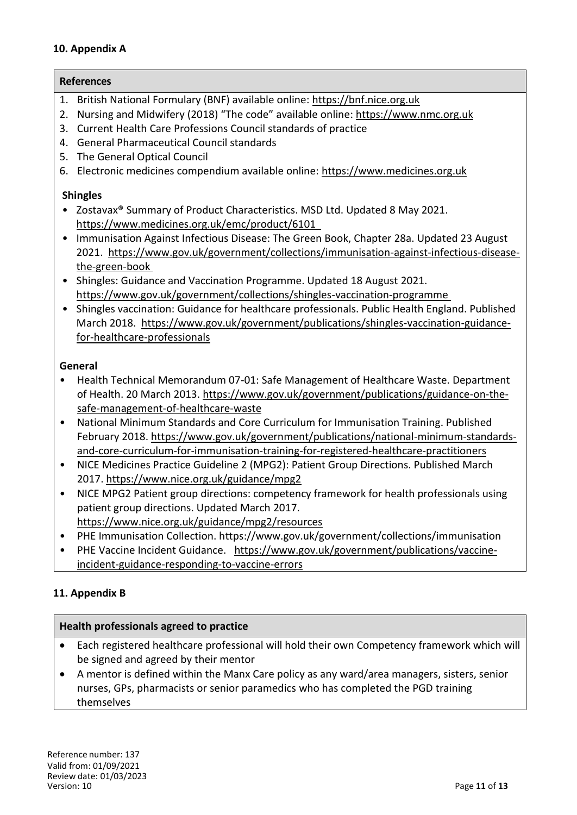## **10. Appendix A**

#### **References**

- 1. British National Formulary (BNF) available online: https://bnf.nice.org.uk
- 2. Nursing and Midwifery (2018) "The code" available online: https://www.nmc.org.uk
- 3. Current Health Care Professions Council standards of practice
- 4. General Pharmaceutical Council standards
- 5. The General Optical Council
- 6. Electronic medicines compendium available online: https://www.medicines.org.uk

#### **Shingles**

- Zostavax® Summary of Product Characteristics. MSD Ltd. Updated 8 May 2021. https://www.medicines.org.uk/emc/product/6101
- Immunisation Against Infectious Disease: The Green Book, Chapter 28a. Updated 23 August 2021. https://www.gov.uk/government/collections/immunisation-against-infectious-diseasethe-green-book
- Shingles: Guidance and Vaccination Programme. Updated 18 August 2021. https://www.gov.uk/government/collections/shingles-vaccination-programme
- Shingles vaccination: Guidance for healthcare professionals. Public Health England. Published March 2018. https://www.gov.uk/government/publications/shingles-vaccination-guidancefor-healthcare-professionals

#### **General**

- Health Technical Memorandum 07-01: Safe Management of Healthcare Waste. Department of Health. 20 March 2013. https://www.gov.uk/government/publications/guidance-on-thesafe-management-of-healthcare-waste
- National Minimum Standards and Core Curriculum for Immunisation Training. Published February 2018. https://www.gov.uk/government/publications/national-minimum-standardsand-core-curriculum-for-immunisation-training-for-registered-healthcare-practitioners
- NICE Medicines Practice Guideline 2 (MPG2): Patient Group Directions. Published March 2017. https://www.nice.org.uk/guidance/mpg2
- NICE MPG2 Patient group directions: competency framework for health professionals using patient group directions. Updated March 2017. https://www.nice.org.uk/guidance/mpg2/resources
- PHE Immunisation Collection. https://www.gov.uk/government/collections/immunisation
- PHE Vaccine Incident Guidance. https://www.gov.uk/government/publications/vaccineincident-guidance-responding-to-vaccine-errors

# **11. Appendix B**

#### **Health professionals agreed to practice**

- Each registered healthcare professional will hold their own Competency framework which will be signed and agreed by their mentor
- A mentor is defined within the Manx Care policy as any ward/area managers, sisters, senior nurses, GPs, pharmacists or senior paramedics who has completed the PGD training themselves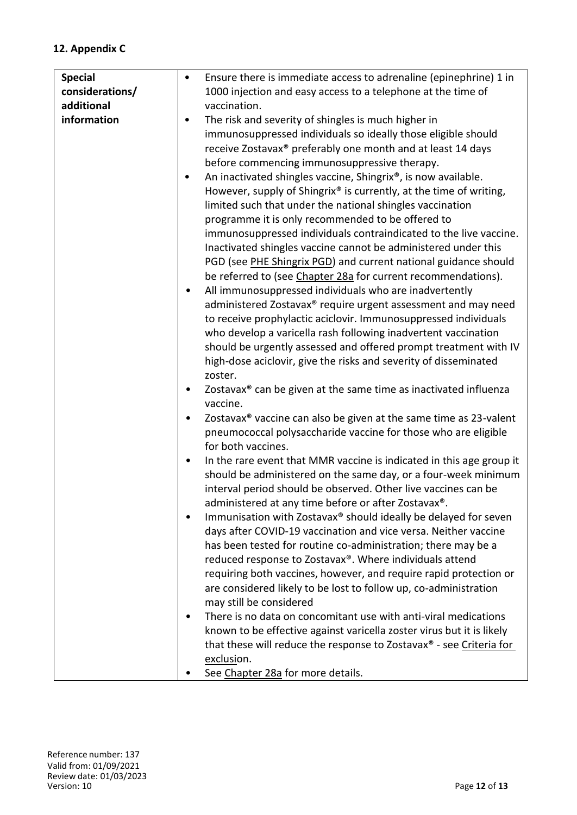# **12. Appendix C**

| <b>Special</b>  | Ensure there is immediate access to adrenaline (epinephrine) 1 in<br>٠            |
|-----------------|-----------------------------------------------------------------------------------|
| considerations/ | 1000 injection and easy access to a telephone at the time of                      |
| additional      | vaccination.                                                                      |
| information     | The risk and severity of shingles is much higher in<br>٠                          |
|                 | immunosuppressed individuals so ideally those eligible should                     |
|                 |                                                                                   |
|                 | receive Zostavax® preferably one month and at least 14 days                       |
|                 | before commencing immunosuppressive therapy.                                      |
|                 | An inactivated shingles vaccine, Shingrix®, is now available.<br>٠                |
|                 | However, supply of Shingrix® is currently, at the time of writing,                |
|                 | limited such that under the national shingles vaccination                         |
|                 | programme it is only recommended to be offered to                                 |
|                 | immunosuppressed individuals contraindicated to the live vaccine.                 |
|                 | Inactivated shingles vaccine cannot be administered under this                    |
|                 | PGD (see PHE Shingrix PGD) and current national guidance should                   |
|                 |                                                                                   |
|                 | be referred to (see Chapter 28a for current recommendations).                     |
|                 | All immunosuppressed individuals who are inadvertently                            |
|                 | administered Zostavax® require urgent assessment and may need                     |
|                 | to receive prophylactic aciclovir. Immunosuppressed individuals                   |
|                 | who develop a varicella rash following inadvertent vaccination                    |
|                 | should be urgently assessed and offered prompt treatment with IV                  |
|                 | high-dose aciclovir, give the risks and severity of disseminated                  |
|                 | zoster.                                                                           |
|                 | Zostavax <sup>®</sup> can be given at the same time as inactivated influenza<br>٠ |
|                 | vaccine.                                                                          |
|                 | Zostavax <sup>®</sup> vaccine can also be given at the same time as 23-valent     |
|                 | pneumococcal polysaccharide vaccine for those who are eligible                    |
|                 | for both vaccines.                                                                |
|                 |                                                                                   |
|                 | In the rare event that MMR vaccine is indicated in this age group it<br>٠         |
|                 | should be administered on the same day, or a four-week minimum                    |
|                 | interval period should be observed. Other live vaccines can be                    |
|                 | administered at any time before or after Zostavax®.                               |
|                 | Immunisation with Zostavax® should ideally be delayed for seven                   |
|                 | days after COVID-19 vaccination and vice versa. Neither vaccine                   |
|                 | has been tested for routine co-administration; there may be a                     |
|                 | reduced response to Zostavax®. Where individuals attend                           |
|                 | requiring both vaccines, however, and require rapid protection or                 |
|                 | are considered likely to be lost to follow up, co-administration                  |
|                 | may still be considered                                                           |
|                 | There is no data on concomitant use with anti-viral medications<br>٠              |
|                 |                                                                                   |
|                 | known to be effective against varicella zoster virus but it is likely             |
|                 | that these will reduce the response to Zostavax <sup>®</sup> - see Criteria for   |
|                 | exclusion.                                                                        |
|                 | See Chapter 28a for more details.                                                 |